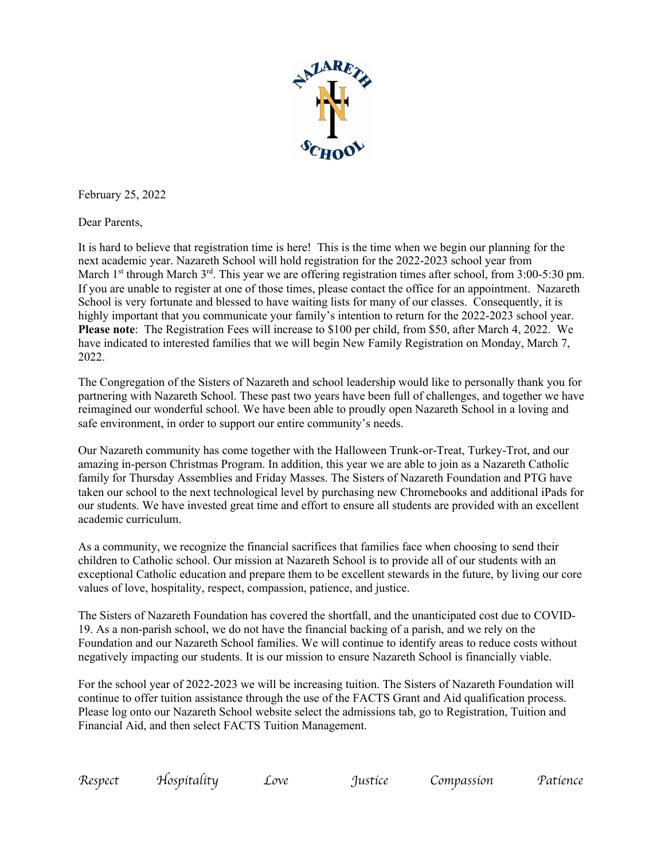

February 25, 2022

Dear Parents,

It is hard to believe that registration time is here! This is the time when we begin our planning for the next academic year. Nazareth School will hold registration for the 2022-2023 school year from March 1<sup>st</sup> through March 3<sup>rd</sup>. This year we are offering registration times after school, from 3:00-5:30 pm. If you are unable to register at one of those times, please contact the office for an appointment. Nazareth School is very fortunate and blessed to have waiting lists for many of our classes. Consequently, it is highly important that you communicate your family's intention to return for the 2022-2023 school year. **Please note**: The Registration Fees will increase to \$100 per child, from \$50, after March 4, 2022. We have indicated to interested families that we will begin New Family Registration on Monday, March 7, 2022.

The Congregation of the Sisters of Nazareth and school leadership would like to personally thank you for partnering with Nazareth School. These past two years have been full of challenges, and together we have reimagined our wonderful school. We have been able to proudly open Nazareth School in a loving and safe environment, in order to support our entire community's needs.

Our Nazareth community has come together with the Halloween Trunk-or-Treat, Turkey-Trot, and our amazing in-person Christmas Program. In addition, this year we are able to join as a Nazareth Catholic family for Thursday Assemblies and Friday Masses. The Sisters of Nazareth Foundation and PTG have taken our school to the next technological level by purchasing new Chromebooks and additional iPads for our students. We have invested great time and effort to ensure all students are provided with an excellent academic curriculum.

As a community, we recognize the financial sacrifices that families face when choosing to send their children to Catholic school. Our mission at Nazareth School is to provide all of our students with an exceptional Catholic education and prepare them to be excellent stewards in the future, by living our core values of love, hospitality, respect, compassion, patience, and justice.

The Sisters of Nazareth Foundation has covered the shortfall, and the unanticipated cost due to COVID-19. As a non-parish school, we do not have the financial backing of a parish, and we rely on the Foundation and our Nazareth School families. We will continue to identify areas to reduce costs without negatively impacting our students. It is our mission to ensure Nazareth School is financially viable.

For the school year of 2022-2023 we will be increasing tuition. The Sisters of Nazareth Foundation will continue to offer tuition assistance through the use of the FACTS Grant and Aid qualification process. Please log onto our Nazareth School website select the admissions tab, go to Registration, Tuition and Financial Aid, and then select FACTS Tuition Management.

| Respect | Hospítalíty | ∠ove | Iustice | compassion | Patience |
|---------|-------------|------|---------|------------|----------|
|---------|-------------|------|---------|------------|----------|